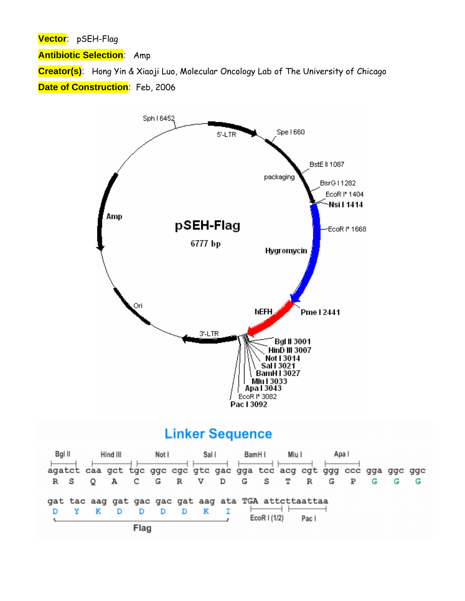**Vector**: pSEH-Flag

**Antibiotic Selection**: Amp

**Creator(s)**: Hong Yin & Xiaoji Luo, Molecular Oncology Lab of The University of Chicago **Date of Construction:** Feb, 2006



## **Linker Sequence**

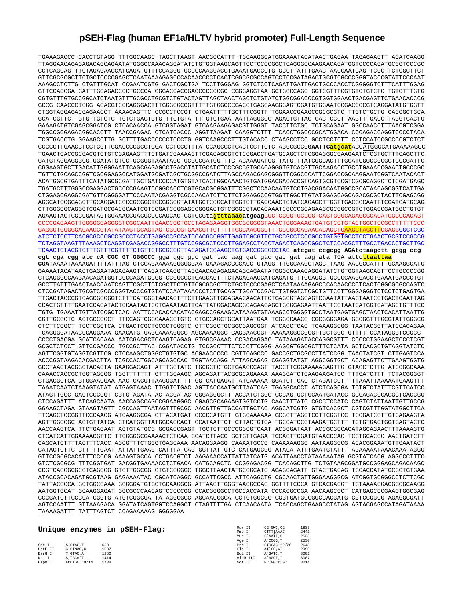## **pSEH-Flag (human EF1a/HLTV hybrid promoter) Full-Length Sequence**

TGAAAGACCC CACCTGTAGG TTTGGCAAGC TAGCTTAAGT AACGCCATTT TGCAAGGCATGGAAAATACATAACTGAGAA TAGAGAAGTT AGATCAAGG TTAGGAACAGAGAGACAGCAGAATATGGGCCAAACAGGATATCTGTGGTAAGCAGTTCCTCCCCGGCTCAGGGCCAAGAACAGATGGTCCCCAGATGCGGTCCCGC CCTCAGCAGTTTCTAGAGAACCATCAGATGTTTCCAGGGTGCCCCAAGGACCTGAAATGACCCTGTGCCTTATTTGAACTAACCAATCAGTTCGCTTCTCGCTTCT GTTCGCGCGCTTCTGCTCCCCGAGCTCAATAAAAGAGCCCACAACCCCTCACTCGGCGCGCCAGTCCTCCGATAGACTGCGTCGCCCGGGTACCCGTATTCCCAAT AAAGCCTCTTG CTGTTTGCAT CCGAATCGTG GACTCGCTGA TCCTTGGGAG GGTCTCCTCAGATTGATTGACTGCCCACCTCGGGGGTCTTTCATTTGGAG GTTCCACCGA GATTTGGAGACCCCTGCCCA GGGACCACCGACCCCCCCGC CGGGAGGTAA GCTGGCCAGC GGTCGTTTCGTGTCTGTCTC TGTCTTTGTG CGTGTTTGTGCCGGCATCTAATGTTTGCGCCTGCGTCTGTACTAGTTAGCTAACTAGCTCTGTATCTGGCGGACCCGTGGTGGAACTGACGAGTTCTGAACACCCG GCCG CAACCCTGGG AGACGTCCCAGGGACTTTGGGGGCCGTTTTTGTGGCCCGACCTGAGGAAGGGAGTCGATGTGGAATCCGACCCCGTCAGGATATGTGGTT CTGGTAGGAGACGAGAACCT AAAACAGTTC CCGCCTCCGT CTGAATTTTTGCTTTCGGTT TGGAACCGAAGCCGCGCGTC TTGTCTGCTG CAGCGCTGCA GCATCGTTCT GTGTTGTCTC TGTCTGACTGTGTTTCTGTA TTTGTCTGAA AATTAGGGCC AGACTGTTAC CACTCCCTTAAGTTTGACCTTAGGTCACTG GAAAGATGTCGAGCGGATCG CTCACAACCA GTCGGTAGAT GTCAAGAAGAGACGTTGGGT TACCTTCTGC TCTGCAGAAT GGCCAACCTTTAACGTCGGA TGGCCGCGAGACGGCACCTT TAACCGAGAC CTCATCACCC AGGTTAAGAT CAAGGTCTTT TCACCTGGCCCGCATGGACA CCCAGACCAGGTCCCCTACA TCGTGACCTG GGAAGCCTTG GCTTTTGACCCCCCTCCCTG GGTCAAGCCCTTTGTACACC CTAAGCCTCC GCCTCCTCTT CCTCCATCCGCCCCGTCTCT CCCCCTTGAACCTCCTCGTTCGACCCCGCCTCGATCCTCCCTTTATCCAGCCCTCACTCCTTCTCTAGGCGCCG**GAATTCatgcat**ACCATGGGCATGAAAAAGCC TGAACTCACCGCGACGTCTGTCGAGAAGTTTCTGATCGAAAAGTTCGACAGCGTCTCCGACCTGATGCAGCTCTCGGAGGGCGAAGAATCTCGTGCTTTCAGCTTC GATGTAGGAGGGCGTGGATATGTCCTGCGGGTAAATAGCTGCGCCGATGGTTTCTACAAAGATCGTTATGTTTATCGGCACTTTGCATCGGCCGCGCTCCCGATTC CGGAAGTGCTTGACATTGGGGAATTCAGCGAGAGCCTGACCTATTGCATCTCCCGCCGTGCACAGGGTGTCACGTTGCAAGACCTGCCTGAAACCGAACTGCCCGC TGTTCTGCAGCCGGTCGCGGAGGCCATGGATGCGATCGCTGCGGCCGATCTTAGCCAGACGAGCGGGTTCGGCCCATTCGGACCGCAAGGAATCGGTCAATACACT ACATGGCGTGATTTCATATGCGCGATTGCTGATCCCCATGTGTATCACTGGCAAACTGTGATGGACGACACCGTCAGTGCGTCCGTCGCGCAGGCTCTCGATGAGC TGATGCTTTGGGCCGAGGACTGCCCCGAAGTCCGGCACCTCGTGCACGCGGATTTCGGCTCCAACAATGTCCTGACGGACAATGGCCGCATAACAGCGGTCATTGA CTGGAGCGAGGCGATGTTCGGGGATTCCCAATACGAGGTCGCCAACATCTTCTTCTGGAGGCCGTGGTTGGCTTGTATGGAGCAGCAGACGCGCTACTTCGAGCGG AGGCATCCGGAGCTTGCAGGATCGCCGCGGCTCCGGGCGTATATGCTCCGCATTGGTCTTGACCAACTCTATCAGAGCTTGGTTGACGGCAATTTCGATGATGCAG CTTGGGCGCAGGGTCGATGCGACGCAATCGTCCGATCCGGAGCCGGGACTGTCGGGCGTACACAAATCGCCCGCAGAAGCGCGGCCGTCTGGACCGATGGCTGTGT AGAAGTACTCGCCGATAGTGGAAACCGACGCCCCAGCACTCGTCCGta**gtttaaacatgcag**CGCTCCGGTGCCCGTCAGTGGGCAGAGCGCACATCGCCCACAGT CCCCGAGAAGTTGGGGGGAGGGGTCGGCAATTGAACCGGTGCCTAGAGAAGGTGGCGCGGGGTAAACTGGGAAAGTGATGTCGTGTACTGGCTCCGCCTTTTTCCC GAGGGTGGGGGAGAACCGTATATAAGTGCAGTAGTCGCCGTGAACGTTCTTTTTCGCAACGGGTTTGCCGCCAGAACACAGCTGAAGCTAGCTTCGAGGGGCTCGC ATCTCTCCTTCACGCGCCCGCCGCCCTACCTGAGGCCGCCATCCACGCCGGTTGAGTCGCGTTCTGCCGCCTCCCGCCTGTGGTGCCTCCTGAACTGCGTCCGCCG TCTAGGTAAGTTTAAAGCTCAGGTCGAGACCGGGCCTTTGTCCGGCGCTCCCTTGGAGCCTACCTAGACTCAGCCGGCTCTCCACGCTTTGCCTGACCCTGCTTGC TCAACTCTACGTCTTTGTTTCGTTTTCTGTTCTGCGCCGTTACAGATCCAAGCTGTGACCGGCGCCTAC **atcgat ccgcgg AGAtctaagctt gcgg ccg cgt cga cgg atc cA CGC GT GGGCCC** gga ggc ggc gat tac aag gat gac gac gat aag ata TGA attc**ttaattaa CGAT**AAAATAAAAGATTTTATTTAGTCTCCAGAAAAAGGGGGGAATGAAAGACCCCACCTGTAGGTTTGGCAAGCTAGCTTAAGTAACGCCATTTTGCAAGGCATG GAAAATACATAACTGAGAATAGAGAAGTTCAGATCAAGGTTAGGAACAGAGAGACAGCAGAATATGGGCCAAACAGGATATCTGTGGTAAGCAGTTCCTGCCCCGG CTCAGGGCCAAGAACAGATGGTCCCCAGATGCGGTCCCGCCCTCAGCAGTTTCTAGAGAACCATCAGATGTTTCCAGGGTGCCCCAAGGACCTGAAATGACCCTGT GCCTTATTTGAACTAACCAATCAGTTCGCTTCTCGCTTCTGTTCGCGCGCTTCTGCTCCCCGAGCTCAATAAAAGAGCCCACAACCCCTCACTCGGCGCGCCAGTC CTCCGATAGACTGCGTCGCCCGGGTACCCGTGTATCCAATAAACCCTCTTGCAGTTGCATCCGACTTGTGGTCTCGCTGTTCCTTGGGAGGGTCTCCTCTGAGTGA TTGACTACCCGTCAGCGGGGGTCTTTCATGGGTAACAGTTTCTTGAAGTTGGAGAACAACATTCTGAGGGTAGGAGTCGAATATTAAGTAATCCTGACTCAATTAG CCACTGTTTTGAATCCACATACTCCAATACTCCTGAAATAGTTCATTATGGACAGCGCAGAAGAGCTGGGGAGAATTAATTCGTAATCATGGTCATAGCTGTTTCC TGTG TGAAATTGTTATCCGCTCAC AATTCCACACAACATACGAGCCGGAAGCATAAAGTGTAAAGCCTGGGGTGCCTAATGAGTGAGCTAACTCACATTAATTG CGTTGCGCTC ACTGCCCGCT TTCCAGTCGGGAAACCTGTC GTGCCAGCTGCATTAATGAA TCGGCCAACG CGCGGGGAGA GGCGGTTTGCGTATTGGGCG CTCTTCCGCT TCCTCGCTCA CTGACTCGCTGCGCTCGGTC GTTCGGCTGCGGCGAGCGGT ATCAGCTCAC TCAAAGGCGG TAATACGGTTATCCACAGAA TCAGGGGATAACGCAGGAAA GAACATGTGAGCAAAAGGCC AGCAAAAGGC CAGGAACCGT AAAAAGGCCGCGTTGCTGGC GTTTTTCCATAGGCTCCGCC CCCCTGACGA GCATCACAAA AATCGACGCTCAAGTCAGAG GTGGCGAAAC CCGACAGGAC TATAAAGATACCAGGCGTTT CCCCCTGGAAGCTCCCTCGT GCGCTCTCCT GTTCCGACCC TGCCGCTTAC CGGATACCTG TCCGCCTTTCTCCCTTCGGG AAGCGTGGCGCTTTCTCATA GCTCACGCTGTAGGTATCTC AGTTCGGTGTAGGTCGTTCG CTCCAAGCTGGGCTGTGTGC ACGAACCCCC CGTTCAGCCC GACCGCTGCGCCTTATCCGG TAACTATCGT CTTGAGTCCA ACCCGGTAAGACACGACTTA TCGCCACTGGCAGCAGCCAC TGGTAACAGG ATTAGCAGAG CGAGGTATGT AGGCGGTGCT ACAGAGTTCTTGAAGTGGTG GCCTAACTACGGCTACACTA GAAGGACAGT ATTTGGTATC TGCGCTCTGCTGAAGCCAGT TACCTTCGGAAAAAGAGTTG GTAGCTCTTG ATCCGGCAAA CAAACCACCGCTGGTAGCGG TGGTTTTTTT GTTTGCAAGC AGCAGATTACGCGCAGAAAA AAAGGATCTCAAGAAGATCC TTTGATCTTT TCTACGGGGT CTGACGCTCA GTGGAACGAA AACTCACGTTAAGGGATTTT GGTCATGAGATTATCAAAAA GGATCTTCAC CTAGATCCTT TTAAATTAAAAATGAAGTTT TAAATCAATCTAAAGTATAT ATGAGTAAAC TTGGTCTGAC AGTTACCAATGCTTAATCAG TGAGGCACCT ATCTCAGCGA TCTGTCTATTTCGTTCATCC ATAGTTGCCTGACTCCCCGT CGTGTAGATA ACTACGATAC GGGAGGGCTT ACCATCTGGC CCCAGTGCTGCAATGATACC GCGAGACCCACGCTCACCGG CTCCAGATTT ATCAGCAATA AACCAGCCAGCCGGAAGGGC CGAGCGCAGAAGTGGTCCTG CAACTTTATC CGCCTCCATC CAGTCTATTAATTGTTGCCG GGAAGCTAGA GTAAGTAGTT CGCCAGTTAATAGTTTGCGC AACGTTGTTGCCATTGCTAC AGGCATCGTG GTGTCACGCT CGTCGTTTGGTATGGCTTCA TTCAGCTCCGGTTCCCAACG ATCAAGGCGA GTTACATGAT CCCCCATGTT GTGCAAAAAA GCGGTTAGCTCCTTCGGTCC TCCGATCGTTGTCAGAAGTA AGTTGGCCGC AGTGTTATCA CTCATGGTTATGGCAGCACT GCATAATTCT CTTACTGTCA TGCCATCCGTAAGATGCTTT TCTGTGACTGGTGAGTACTC AACCAAGTCA TTCTGAGAAT AGTGTATGCG GCGACCGAGT TGCTCTTGCCCGGCGTCAAT ACGGGATAAT ACCGCGCCACATAGCAGAACTTTAAAAGTG CTCATCATTGGAAAACGTTC TTCGGGGCGAAAACTCTCAA GGATCTTACC GCTGTTGAGA TCCAGTTCGATGTAACCCAC TCGTGCACCC AACTGATCTT CAGCATCTTTTACTTTCACC AGCGTTTCTGGGTGAGCAAA AACAGGAAGG CAAAATGCCG CAAAAAAGGG AATAAGGGCG ACACGGAAATGTTGAATACT CATACTCTTC CTTTTTCAAT ATTATTGAAG CATTTATCAG GGTTATTGTCTCATGAGCGG ATACATATTTGAATGTATTT AGAAAAATAAACAAATAGGG GTTCCGCGCACATTTCCCCG AAAAGTGCCA CCTGACGTCT AAGAAACCATTATTATCATG ACATTAACCTATAAAAATAG GCGTATCACG AGGCCCTTTC GTCTCGCGCG TTTCGGTGAT GACGGTGAAAACCTCTGACA CATGCAGCTC CCGGAGACGG TCACAGCTTG TCTGTAAGCGGATGCCGGGAGCAGACAAGC CCGTCAGGGCGCGTCAGCGG GTGTTGGCGG GTGTCGGGGC TGGCTTAACTATGCGGCATC AGAGCAGATT GTACTGAGAG TGCACCATATGCGGTGTGAA ATACCGCACAGATGCGTAAG GAGAAAATAC CGCATCAGGC GCCATTCGCC ATTCAGGCTG CGCAACTGTTGGGAAGGGCG ATCGGTGCGGGCCTCTTCGC TATTACGCCA GCTGGCGAAA GGGGGATGTGCTGCAAGGCG ATTAAGTTGGGTAACGCCAG GGTTTTCCCA GTCACGACGT TGTAAAACGACGGCGCAAGG AATGGTGCAT GCAAGGAGAT GGCGCCCAACAGTCCCCCGG CCACGGGGCCTGCCACCATA CCCACGCCGA AACAAGCGCT CATGAGCCCGAAGTGGCGAG CCCGATCTTCCCCATCGGTG ATGTCGGCGA TATAGGCGCC AGCAACCGCA CCTGTGGCGC CGGTGATGCCGGCCACGATG CGTCCGGCGTAGAGGCGATT AGTCCAATTT GTTAAAGACA GGATATCAGTGGTCCAGGCT CTAGTTTTGA CTCAACAATA TCACCAGCTGAAGCCTATAG AGTACGAGCCATAGATAAAA TAAAAGATTT TATTTAGTCT CCAGAAAAAG GGGGGAA

## **Unique enzymes in pSEH-Flag:**

| Spe I          | A'CTAG.T     | 660  |
|----------------|--------------|------|
| <b>BstE II</b> | G'GTNAC.C    | 1087 |
| BsrG I         | T'GTAC.A     | 1282 |
| Nsi I          | A. TGCA'T    | 1414 |
| BspM I         | ACCTGC 10/14 | 1738 |

| Rsr II |          | CG`GWC.CG    | 1833 |
|--------|----------|--------------|------|
| Pme I  |          | CTTT AAAC    | 2441 |
| Mun I  |          | C'AATT.G     | 2523 |
| Age I  |          | A`CCGG.T     | 2530 |
| Bsa I  |          | GTGCAG 22/20 | 2648 |
| Cla I  |          | AT CG. AT    | 2990 |
| Bal II |          | A'GATC.T     | 3001 |
|        | HinD III | A`AGCT.T     | 3007 |
| Not I  |          | GC `GGCC.GC  | 3014 |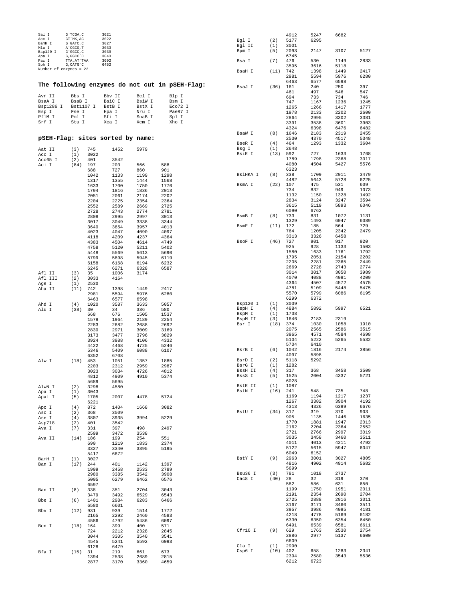| Sal I<br>Acc I         | G`TCGA, C<br>GT `MK, AC   |              | 3021<br>3022                     |                 |                                                | Bgl I            | (2)        | 4912<br>5177 | 5247<br>6295 | 6682         |              |
|------------------------|---------------------------|--------------|----------------------------------|-----------------|------------------------------------------------|------------------|------------|--------------|--------------|--------------|--------------|
| BamH I                 | G`GATC, C                 |              | 3027                             |                 |                                                | Bgl II           | (1)        | 3001         |              |              |              |
| Mlu I<br>Bsp120 I      | A`CGCG, T<br>G`GGCC, C    |              | 3033<br>3039                     |                 |                                                | Bpm I            | (5)        | 2093         | 2147         | 3107         | 5127         |
| Apa I<br>Pac I         | G, GGCC 'C<br>TTA, AT`TAA |              | 3043<br>3092                     |                 |                                                |                  |            | 6745         |              |              |              |
| Sph I                  | G, CATG`C                 |              | 6452                             |                 |                                                | Bsa I            | (7)        | 476<br>3595  | 530<br>3616  | 1149<br>5118 | 2833         |
| Number of enzymes = 22 |                           |              |                                  |                 |                                                | BsaH I           | (11)       | 742          | 1398         | 1449         | 2417         |
|                        |                           |              |                                  |                 |                                                |                  |            | 2981         | 5594         | 5976         | 6280         |
|                        |                           |              |                                  |                 | The following enzymes do not cut in pSEH-Flag: |                  |            | 6463         | 6577         | 6598         |              |
|                        |                           |              |                                  |                 |                                                | BsaJ I           | (36)       | 161<br>461   | 240<br>497   | 250<br>546   | 397<br>547   |
| Avr II                 | Bbs I                     |              | Bbv II                           | Bcl I           | Blp I                                          |                  |            | 694          | 733          | 734          | 746          |
| BsaA I                 | BsaB I                    |              | BsiC I                           | BsiW I          | Bsm I                                          |                  |            | 747          | 1167         | 1236         | 1245         |
| Bsp1286 I<br>Esp I     | Bst1107 I<br>Fse I        |              | BstB I<br>Hpa I                  | BstX I<br>Nru I | Eco72 I<br>PaeR7 I                             |                  |            | 1265         | 1266         | 1417         | 1777         |
| PflM I                 | Pml I                     |              | Sfi I                            | SnaB I          | Spl I                                          |                  |            | 1978<br>2864 | 2133<br>2995 | 2202<br>3302 | 2600<br>3381 |
| Srf I                  | Stu I                     |              | Xca I                            | Xcm I           | Xho I                                          |                  |            | 3391         | 3538         | 3601         | 3903         |
|                        |                           |              |                                  |                 |                                                |                  |            | 4324         | 6398         | 6476         | 6482         |
|                        |                           |              |                                  |                 |                                                | BsaW I           | (8)        | 1646         | 2183         | 2319         | 2455         |
|                        |                           |              | pSEH-Flag: sites sorted by name: |                 |                                                | BseR I           | (4)        | 2530<br>464  | 4370<br>1293 | 4517<br>1332 | 5348<br>3604 |
| Aat II                 | (3)                       | 745          | 1452                             | 5979            |                                                | Bsg I            | (1)        | 2648         |              |              |              |
| Acc I                  | (1)                       | 3022         |                                  |                 |                                                | BsiE I           | (13)       | 592          | 727          | 1633         | 1768         |
| Acc65 I                | (2)                       | 401          | 3542                             |                 |                                                |                  |            | 1789<br>4080 | 1798<br>4504 | 2368<br>5427 | 3017<br>5576 |
| Aci I                  | (84)                      | 197<br>688   | 203<br>727                       | 566<br>860      | 588<br>901                                     |                  |            | 6323         |              |              |              |
|                        |                           | 1042         | 1133                             | 1199            | 1298                                           | BsiHKA I         | (8)        | 338          | 1709         | 2011         | 3479         |
|                        |                           | 1317         | 1355                             | 1444            | 1568                                           |                  |            | 4482         | 5643         | 5728         | 6225         |
|                        |                           | 1633         | 1700                             | 1750            | 1770                                           | BsmA I           | (22)       | 107<br>734   | 475<br>832   | 531<br>949   | 609<br>1073  |
|                        |                           | 1794<br>2051 | 1816<br>2061                     | 1836<br>2174    | 2013<br>2202                                   |                  |            | 1132         | 1150         | 1328         | 1492         |
|                        |                           | 2204         | 2225                             | 2354            | 2364                                           |                  |            | 2834         | 3124         | 3247         | 3594         |
|                        |                           | 2552         | 2589                             | 2669            | 2725                                           |                  |            | 3615         | 5119         | 5893         | 6046         |
|                        |                           | 2728<br>2808 | 2743<br>2995                     | 2774<br>2997    | 2781<br>3013                                   | BsmB I           | (8)        | 6090<br>733  | 6762<br>831  | 1072         | 1131         |
|                        |                           | 3017         | 3049                             | 3338            | 3344                                           |                  |            | 1329         | 1493         | 6047         | 6089         |
|                        |                           | 3640         | 3854                             | 3957            | 4013                                           | BsmF I           | (11)       | 172          | 185          | 564          | 729          |
|                        |                           | 4023         | 4047                             | 4090            | 4097                                           |                  |            | 764          | 1205         | 2342         | 2479         |
|                        |                           | 4118<br>4383 | 4209<br>4504                     | 4237<br>4614    | 4364<br>4749                                   | BsoF I           | (46)       | 3313<br>727  | 3326<br>901  | 6458<br>917  | 920          |
|                        |                           | 4758         | 5120                             | 5211            | 5402                                           |                  |            | 925          | 928          | 1133         | 1503         |
|                        |                           | 5448         | 5569                             | 5613            | 5690                                           |                  |            | 1580         | 1633         | 1761         | 1792         |
|                        |                           | 5799         | 5898                             | 5945            | 6119                                           |                  |            | 1795<br>2205 | 2051<br>2281 | 2154<br>2365 | 2202<br>2449 |
|                        |                           | 6158<br>6245 | 6168<br>6271                     | 6194<br>6328    | 6232<br>6587                                   |                  |            | 2669         | 2728         | 2743         | 2774         |
| Afl II                 | (3)                       | 35           | 1006                             | 3174            |                                                |                  |            | 3014         | 3017         | 3050         | 3989         |
| Afl III                | (2)                       | 3033         | 4164                             |                 |                                                |                  |            | 4070         | 4088         | 4091         | 4209         |
| Age I<br>Aha II        | (1)<br>(11)               | 2530<br>742  | 1398                             | 1449            | 2417                                           |                  |            | 4364<br>4781 | 4507<br>5109 | 4572<br>5448 | 4575<br>5475 |
|                        |                           | 2981         | 5594                             | 5976            | 6280                                           |                  |            | 5570         | 5799         | 6086         | 6195         |
|                        |                           | 6463         | 6577                             | 6598            |                                                |                  |            | 6299         | 6372         |              |              |
| Ahd I                  | (4)                       | 1020         | 3587                             | 3633            | 5057                                           | Bsp120 I         | (1)        | 3039         |              |              | 6521         |
| Alu I                  | (38)                      | 30<br>668    | 34<br>676                        | 336<br>1505     | 580<br>1537                                    | BspH I<br>BspM I | (4)<br>(1) | 4884<br>1738 | 5892         | 5997         |              |
|                        |                           | 1579         | 1964                             | 2189            | 2254                                           | BspM II          | (3)        | 1646         | 2183         | 2319         |              |
|                        |                           | 2283         | 2682                             | 2688            | 2692                                           | Bsr I            | (18)       | 374          | 1030         | 1058         | 1910         |
|                        |                           | 2830<br>3173 | 2971<br>3477                     | 3009<br>3796    | 3169<br>3829                                   |                  |            | 2075<br>3965 | 2565<br>4571 | 2586<br>4584 | 3515<br>4698 |
|                        |                           | 3924         | 3988                             | 4106            | 4332                                           |                  |            | 5104         | 5222         | 5265         | 5532         |
|                        |                           | 4422         | 4468                             | 4725            | 5246                                           |                  |            | 5704         | 6410         |              |              |
|                        |                           | 5346         | 5409                             | 6088            | 6107                                           | BsrB I           | (6)        | 1042         | 1816         | 2174         | 3856         |
| Alw I                  | (18)                      | 6352<br>453  | 6708<br>1051                     | 1357            | 1885                                           | BsrD I           | (2)        | 4097<br>5118 | 5898<br>5292 |              |              |
|                        |                           | 2203         | 2312                             | 2959            | 2987                                           | BsrG I           | (1)        | 1282         |              |              |              |
|                        |                           | 3023         | 3034                             | 4726            | 4812                                           | BssH II          | (4)        | 317          | 368          | 3458         | 3509         |
|                        |                           | 4812         | 4909                             | 4910            | 5374                                           | BssS I           | (5)        | 1525<br>6028 | 2004         | 4337         | 5721         |
| AlwN I                 | (2)                       | 5689<br>3298 | 5695<br>4580                     |                 |                                                | BstE II          | (1)        | 1087         |              |              |              |
| Apa I                  | (1)                       | 3043         |                                  |                 |                                                | BstN I           | (16) 241   |              | 548          | 735          | 748          |
| ApaL I                 | (5)                       | 1705         | 2007                             | 4478            | 5724                                           |                  |            | 1169<br>1267 | 1194         | 1217<br>3904 | 1237<br>4192 |
| Apo I                  | (4)                       | 6221<br>872  | 1404                             | 1668            | 3082                                           |                  |            | 4313         | 3382<br>4326 | 6399         | 6676         |
| Asc I                  | (2)                       | 368          | 3509                             |                 |                                                | BstU I           | (34)       | 317          | 319          | 370          | 903          |
| Ase I                  | (4)                       | 3807         | 3935                             | 3994            | 5229                                           |                  |            | 905          | 1135         | 1446         | 1635         |
| Asp718<br>Ava I        | (2)<br>(7)                | 401<br>331   | 3542<br>397                      | 498             | 2497                                           |                  |            | 1770<br>2162 | 1881<br>2204 | 1947<br>2364 | 2013<br>2552 |
|                        |                           | 2599         | 3472                             | 3538            |                                                |                  |            | 2721         | 2766         | 2997         | 3019         |
| Ava II                 | (14)                      | 186          | 199                              | 254             | 551                                            |                  |            | 3035         | 3458         | 3460         | 3511         |
|                        |                           | 690          | 1219                             | 1833            | 2374                                           |                  |            | 4011<br>5122 | 4013         | 4211<br>5947 | 4792         |
|                        |                           | 3327<br>5417 | 3340<br>6672                     | 3395            | 5195                                           |                  |            | 6049         | 5615<br>6152 |              | 6047         |
| BamH I                 | (1)                       | 3027         |                                  |                 |                                                | BstY I           | (9)        | 2963         | 3001         | 3027         | 4805         |
| Ban I                  | $(17)$ 244                |              | 401                              | 1142            | 1397                                           |                  |            | 4816         | 4902         | 4914         | 5682         |
|                        |                           | 1999         | 2458                             | 2533            | 2789                                           | Bsu36 I          | (3)        | 5699<br>781  | 1018         | 2737         |              |
|                        |                           | 2980<br>5005 | 3385<br>6279                     | 3542<br>6462    | 3908<br>6576                                   | Cac8 I           | (40)       | 28           | 32           | 319          | 370          |
|                        |                           | 6597         |                                  |                 |                                                |                  |            | 582          | 586          | 631          | 650          |
| Ban II                 | (8)                       | 338          | 351                              | 2704            | 3043                                           |                  |            | 1199         | 1750         | 1951         | 2011         |
| Bbe I                  | (6)                       | 3479<br>1401 | 3492<br>2984                     | 6529<br>6283    | 6543<br>6466                                   |                  |            | 2191<br>2725 | 2354<br>2888 | 2690<br>2916 | 2704<br>3011 |
|                        |                           | 6580         | 6601                             |                 |                                                |                  |            | 3167         | 3171         | 3460         | 3511         |
| Bbv I                  | (12)                      | 931          | 939                              | 1514            | 1772                                           |                  |            | 3957         | 3986         | 4095         | 4181         |
|                        |                           | 2165         | 2292                             | 2460            | 4583                                           |                  |            | 4218         | 4778         | 5169         | 6182         |
| Bcn I                  | (18) 164                  | 4586         | 4792<br>399                      | 5486<br>400     | 6097<br>571                                    |                  |            | 6330<br>6491 | 6350<br>6539 | 6354<br>6581 | 6450<br>6611 |
|                        |                           | 724          | 2212                             | 2328            | 2845                                           | Cfr10 I          | (9)        | 629          | 1763         | 2530         | 2754         |
|                        |                           | 3044         | 3305                             | 3540            | 3541                                           |                  |            | 2886         | 2977         | 5137         | 6600         |
|                        |                           | 4545         | 5241                             | 5592            | 6093                                           | Cla I            | (1)        | 6609<br>2990 |              |              |              |
| Bfa I                  | (15) 31                   | 6128         | 6479<br>219                      | 661             | 673                                            | Csp6 I           | $(10)$ 402 |              | 658          | 1283         | 2341         |
|                        |                           | 1394         | 2538                             | 2689            | 2815                                           |                  |            | 2394         | 2580         | 3543         | 5536         |
|                        |                           | 2877         | 3170                             | 3360            | 4659                                           |                  |            | 6212         | 6723         |              |              |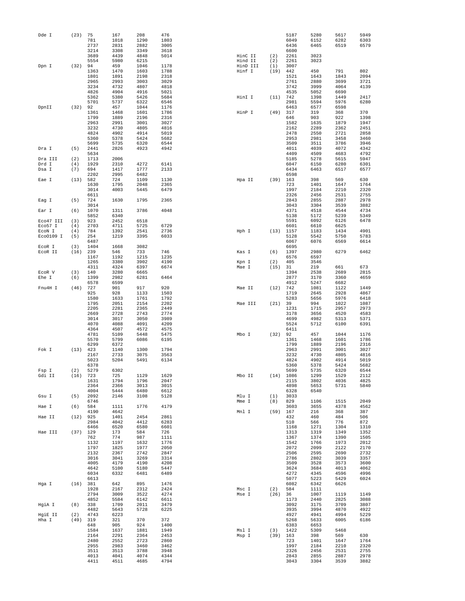| Dde I     | (23)       | 75           | 167          | 208          | 476          |                     |            | 5187         | 5280         | 5617         | 5949         |
|-----------|------------|--------------|--------------|--------------|--------------|---------------------|------------|--------------|--------------|--------------|--------------|
|           |            | 781          | 1018         | 1290         | 1803         |                     |            | 6049         | 6152         | 6282         | 6303         |
|           |            | 2737         | 2831         | 2882         | 3005         |                     |            | 6436         | 6465         | 6519         | 6579         |
|           |            | 3214         | 3308         | 3349         | 3618         |                     |            | 6600         |              |              |              |
|           |            | 3689         | 4439         | 4848         | 5014         | HinC II             | (2)        | 2261         | 3023         |              |              |
|           | (32)       | 5554<br>94   | 5980<br>459  | 6215<br>1046 | 1178         | Hind II<br>HinD III | (2)<br>(1) | 2261<br>3007 | 3023         |              |              |
| Dpn I     |            | 1363         | 1470         | 1603         | 1788         | Hinf I              | (19)       | 442          | 450          | 791          | 802          |
|           |            | 1801         | 1891         | 2198         | 2318         |                     |            | 1521         | 1643         | 1843         | 2094         |
|           |            | 2965         | 2993         | 3003         | 3029         |                     |            | 2761         | 2880         | 3699         | 3721         |
|           |            | 3234         | 4732         | 4807         | 4818         |                     |            | 3742         | 3999         | 4064         | 4139         |
|           |            | 4826         | 4904         | 4916         | 5021         |                     |            | 4535         | 5052         | 6690         |              |
|           |            | 5362         | 5380         | 5426         | 5684         | HinI I              | (11)       | 742          | 1398         | 1449         | 2417         |
|           |            | 5701         | 5737         | 6322         | 6546         |                     |            | 2981         | 5594         | 5976         | 6280         |
| DpnII     | (32)       | 92           | 457          | 1044         | 1176         |                     |            | 6463         | 6577         | 6598         |              |
|           |            | 1361<br>1799 | 1468         | 1601         | 1786<br>2316 | HinP I              | (49)       | 317<br>646   | 319<br>903   | 368          | 370<br>1398  |
|           |            | 2963         | 1889<br>2991 | 2196<br>3001 | 3027         |                     |            | 1582         | 1635         | 922<br>1879  | 1947         |
|           |            | 3232         | 4730         | 4805         | 4816         |                     |            | 2162         | 2289         | 2362         | 2451         |
|           |            | 4824         | 4902         | 4914         | 5019         |                     |            | 2478         | 2550         | 2721         | 2858         |
|           |            | 5360         | 5378         | 5424         | 5682         |                     |            | 2953         | 2981         | 3458         | 3460         |
|           |            | 5699         | 5735         | 6320         | 6544         |                     |            | 3509         | 3511         | 3786         | 3946         |
| Dra I     | (5)        | 2441         | 2826         | 4923         | 4942         |                     |            | 4011         | 4039         | 4072         | 4342         |
|           |            | 5634         |              |              |              |                     |            | 4409         | 4509         | 4683         | 4792         |
| Dra III   | (2)        | 1713         | 2006         |              |              |                     |            | 5185         | 5278         | 5615         | 5947         |
| Drd I     | (4)        | 1929         | 2310         | 4272         | 6141         |                     |            | 6047         | 6150         | 6280         | 6301         |
| Dsa I     | (7)        | 694          | 1417         | 1777         | 2133         |                     |            | 6434         | 6463         | 6517         | 6577         |
| Eae I     |            | 2202         | 2995         | 6482         | 1130         |                     |            | 6598         |              |              |              |
|           | (13)       | 582          | 724          | 1109         |              | Hpa II              | (39)       | 163          | 398          | 569          | 630<br>1764  |
|           |            | 1630<br>3014 | 1795<br>4003 | 2048<br>5445 | 2365<br>6479 |                     |            | 723<br>1997  | 1401<br>2184 | 1647<br>2210 | 2320         |
|           |            | 6611         |              |              |              |                     |            | 2326         | 2456         | 2531         | 2755         |
| Eag I     | (5)        | 724          | 1630         | 1795         | 2365         |                     |            | 2843         | 2855         | 2887         | 2978         |
|           |            | 3014         |              |              |              |                     |            | 3043         | 3304         | 3539         | 3882         |
| Ear I     | (6)        | 1070         | 1311         | 3786         | 4048         |                     |            | 4371         | 4518         | 4544         | 4734         |
|           |            | 5852         | 6340         |              |              |                     |            | 5138         | 5172         | 5239         | 5349         |
| Eco47 III | (3)        | 923          | 2452         | 6518         |              |                     |            | 5591         | 6092         | 6126         | 6478         |
| Eco57 I   | (4)        | 2703         | 4711         | 5725         | 6729         |                     |            | 6601         | 6610         | 6625         |              |
| ECON I    | (4)        | 784          | 1392         | 2541         | 2736         | Hph I               | (13)       | 1157         | 1183         | 1434         | 4901         |
| Eco0109 I | (5)        | 254          | 1219         | 3395         | 6033         |                     |            | 5128         | 5542         | 5750         | 5783         |
|           |            | 6487         |              |              |              |                     |            | 6067         | 6076         | 6569         | 6614         |
| ECOR I    | (3)        | 1404         | 1668         | 3082         |              |                     |            | 6695         |              |              |              |
| ECOR II   | $(16)$ 239 |              | 546<br>1192  | 733          | 746<br>1235  | Kas I               | (6)        | 1397<br>6576 | 2980<br>6597 | 6279         | 6462         |
|           |            | 1167<br>1265 | 3380         | 1215<br>3902 | 4190         | Kpn I               | (2)        | 405          | 3546         |              |              |
|           |            | 4311         | 4324         | 6397         | 6674         | Mae I               | (15)       | 31           | 219          | 661          | 673          |
| ECOR V    | (3)        | 140          | 3280         | 6665         |              |                     |            | 1394         | 2538         | 2689         | 2815         |
| Ehe I     | (6)        | 1399         | 2982         | 6281         | 6464         |                     |            | 2877         | 3170         | 3360         | 4659         |
|           |            | 6578         | 6599         |              |              |                     |            | 4912         | 5247         | 6682         |              |
| Fnu4H I   | (46)       | 727          | 901          | 917          | 920          | Mae II              | (12)       | 742          | 1081         | 1122         | 1449         |
|           |            | 925          | 928          | 1133         | 1503         |                     |            | 1719         | 2645         | 2928         | 4867         |
|           |            | 1580         | 1633         | 1761         | 1792         |                     |            | 5283         | 5656         | 5976         | 6418         |
|           |            | 1795         | 2051         | 2154         | 2202         | Mae III             | (21)       | 39           | 994          | 1022         | 1087         |
|           |            | 2205         | 2281         | 2365         | 2449         |                     |            | 1231         | 1715         | 2957         | 2973         |
|           |            | 2669         | 2728         | 2743         | 2774         |                     |            | 3178         | 3656         | 4520         | 4583         |
|           |            | 3014         | 3017         | 3050         | 3989         |                     |            | 4699         | 4982         | 5313         | 5371         |
|           |            | 4070<br>4364 | 4088<br>4507 | 4091<br>4572 | 4209<br>4575 |                     |            | 5524<br>6411 | 5712         | 6100         | 6391         |
|           |            | 4781         | 5109         | 5448         | 5475         | Mbo I               | $(32)$ 92  |              | 457          | 1044         | 1176         |
|           |            | 5570         | 5799         | 6086         | 6195         |                     |            | 1361         | 1468         | 1601         | 1786         |
|           |            | 6299         | 6372         |              |              |                     |            | 1799         | 1889         | 2196         | 2316         |
| Fok I     | (13)       | 423          | 1140         | 1300         | 1794         |                     |            | 2963         | 2991         | 3001         | 3027         |
|           |            | 2167         | 2733         | 3075         | 3563         |                     |            | 3232         | 4730         | 4805         | 4816         |
|           |            | 5023         | 5204         | 5491         | 6134         |                     |            | 4824         | 4902         | 4914         | 5019         |
|           |            | 6378         |              |              |              |                     |            | 5360         | 5378         | 5424         | 5682         |
| Fsp I     | (2)        | 5279         | 6302         |              |              |                     |            | 5699         | 5735         | 6320         | 6544         |
| Gdi II    | (16)       | 723          | 725          | 1129         | 1629<br>2047 | Mbo II              |            | $(14)$ 1086  | 1299         | 1529         | 2112<br>4825 |
|           |            | 1631<br>2364 | 1794<br>2366 | 1796<br>3013 | 3015         |                     |            | 2115<br>4898 | 3802<br>5653 | 4036<br>5731 | 5840         |
|           |            | 4004         | 5444         | 6480         | 6612         |                     |            | 6328         | 6540         |              |              |
| Gsu I     | (5)        | 2092         | 2146         | 3108         | 5128         | Mlu I               | (1)        | 3033         |              |              |              |
|           |            | 6746         |              |              |              | Mme I               | (8)        | 829          | 1106         | 1515         | 2049         |
| Hae I     | (6)        | 584          | 1111         | 1776         | 4179         |                     |            | 3603         | 3655         | 4378         | 4562         |
|           |            | 4190         | 4642         |              |              | Mnl I               | (59)       | 167          | 216          | 368          | 387          |
| Hae II    | (12)       | 925          | 1401         | 2454         | 2861         |                     |            | 432          | 460          | 484          | 506          |
|           |            | 2984         | 4042         | 4412         | 6283         |                     |            | 510          | 566          | 776          | 872          |
|           |            | 6466         | 6520         | 6580         | 6601         |                     |            | 1168         | 1271         | 1304         | 1310         |
| Hae III   | (37)       | 129          | 173          | 584          | 726          |                     |            | 1313         | 1319         | 1349         | 1352         |
|           |            | 762<br>1132  | 774<br>1197  | 987<br>1632  | 1111<br>1776 |                     |            | 1367<br>1542 | 1374<br>1766 | 1390<br>1973 | 1505<br>2012 |
|           |            | 1797         | 1825         | 1977         | 2050         |                     |            | 2072         | 2099         | 2122         | 2170         |
|           |            | 2132         | 2367         | 2742         | 2847         |                     |            | 2506         | 2595         | 2690         | 2732         |
|           |            | 3016         | 3041         | 3269         | 3314         |                     |            | 2786         | 2802         | 3039         | 3357         |
|           |            | 4005         | 4179         | 4190         | 4208         |                     |            | 3509         | 3528         | 3573         | 3600         |
|           |            | 4642         | 5100         | 5180         | 5447         |                     |            | 3624         | 3684         | 4013         | 4062         |
|           |            | 6034         | 6332         | 6481         | 6489         |                     |            | 4272         | 4345         | 4596         | 4996         |
|           |            | 6613         |              |              |              |                     |            | 5077         | 5223         | 5429         | 6024         |
| Hga I     | (16)       | 381          | 642          | 895          | 1476         |                     |            | 6082         | 6342         | 6626         |              |
|           |            | 1928         | 2167         | 2312         | 2424         | Msc I               | (2)        | 584          | 1111         |              |              |
|           |            | 2794<br>4852 | 3009<br>5584 | 3522<br>6142 | 4274<br>6611 | Mse I               | (26)       | 36<br>1173   | 1007<br>2440 | 1119<br>2825 | 1149<br>3088 |
| HgiA I    | (8)        | 338          | 1709         | 2011         | 3479         |                     |            | 3092         | 3175         | 3709         | 3807         |
|           |            | 4482         | 5643         | 5728         | 6225         |                     |            | 3935         | 3994         | 4870         | 4922         |
| HgiE II   | (2)        | 4743         | 6223         |              |              |                     |            | 4927         | 4941         | 4994         | 5229         |
| Hha I     | (49)       | 319          | 321          | 370          | 372          |                     |            | 5268         | 5633         | 6005         | 6186         |
|           |            | 648          | 905          | 924          | 1400         |                     |            | 6383         | 6653         |              |              |
|           |            | 1584         | 1637         | 1881         | 1949         | Msl I               | (3)        | 1422         | 5309         | 5468         |              |
|           |            | 2164         | 2291         | 2364         | 2453         | Msp I               | (39)       | 163          | 398          | 569          | 630          |
|           |            | 2480         | 2552         | 2723         | 2860         |                     |            | 723          | 1401         | 1647         | 1764         |
|           |            | 2955         | 2983         | 3460         | 3462         |                     |            | 1997         | 2184         | 2210         | 2320         |
|           |            | 3511         | 3513         | 3788         | 3948         |                     |            | 2326         | 2456         | 2531         | 2755         |
|           |            | 4013         | 4041         | 4074         | 4344         |                     |            | 2843         | 2855         | 2887         | 2978         |
|           |            | 4411         | 4511         | 4685         | 4794         |                     |            | 3043         | 3304         | 3539         | 3882         |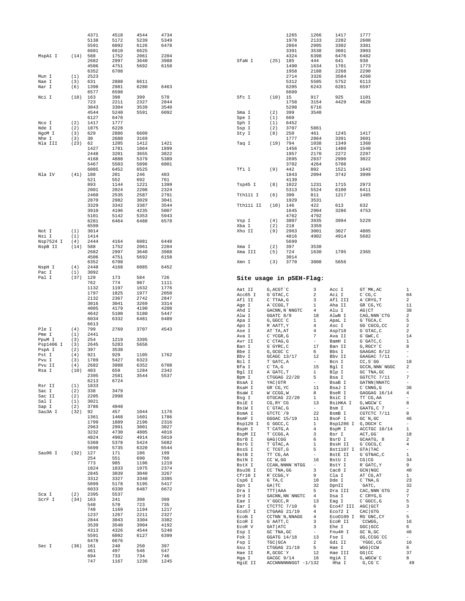|                     |             | 4371<br>5138 | 4518<br>5172 | 4544<br>5239 | 4734<br>5349 |                          |                                     | 1265<br>1978        | 1266<br>2133                   | 1417<br>2202         | 1777<br>2600                                                             |                                |
|---------------------|-------------|--------------|--------------|--------------|--------------|--------------------------|-------------------------------------|---------------------|--------------------------------|----------------------|--------------------------------------------------------------------------|--------------------------------|
|                     |             | 5591         | 6092         | 6126         | 6478         |                          |                                     | 2864                | 2995                           | 3302                 | 3381                                                                     |                                |
|                     |             | 6601         | 6610         | 6625         |              |                          |                                     | 3391                | 3538                           | 3601                 | 3903                                                                     |                                |
| MspAl I             | (14)        | 588<br>2682  | 1752<br>2997 | 2061<br>3640 | 2204<br>3988 | SfaN I                   | (25)                                | 4324<br>185         | 6398<br>444                    | 6476<br>641          | 6482<br>938                                                              |                                |
|                     |             | 4506         | 4751         | 5692         | 6158         |                          |                                     | 1490                | 1634                           | 1701                 | 1773                                                                     |                                |
|                     |             | 6352         | 6708         |              |              |                          |                                     | 1958                | 2188                           | 2268                 | 2290                                                                     |                                |
| Mun I<br>Nae I      | (1)<br>(3)  | 2523<br>631  | 2888         | 6611         |              |                          |                                     | 2714<br>5312        | 3326<br>5505                   | 3584<br>5752         | 4260<br>6113                                                             |                                |
| Nar I               | (6)         | 1398         | 2981         | 6280         | 6463         |                          |                                     | 6205                | 6243                           | 6281                 | 6597                                                                     |                                |
| Nci I               | (18)        | 6577<br>163  | 6598<br>398  | 399          | 570          | Sfc I                    | (10)                                | 6609<br>15          | 917                            | 925                  | 1101                                                                     |                                |
|                     |             | 723          | 2211         | 2327         | 2844         |                          |                                     | 1758                | 3154                           | 4429                 | 4620                                                                     |                                |
|                     |             | 3043         | 3304         | 3539         | 3540         |                          |                                     | 5298                | 6716                           |                      |                                                                          |                                |
|                     |             | 4544<br>6127 | 5240<br>6478 | 5591         | 6092         | Sma I<br>Spe I           | (2)<br>(1)                          | 399<br>660          | 3540                           |                      |                                                                          |                                |
| Nco I               | (2)         | 1417         | 1777         |              |              | Sph I                    | (1)                                 | 6452                |                                |                      |                                                                          |                                |
| Nde I               | (2)         | 1875         | 6228         |              |              | Ssp I                    | (2)                                 | 3707                | 5861                           |                      |                                                                          |                                |
| NgoM I<br>Nhe I     | (3)<br>(3)  | 629<br>30    | 2886<br>2688 | 6609<br>3169 |              | Sty I                    | (8)                                 | 250<br>1777         | 461<br>2864                    | 1245<br>3391         | 1417<br>3601                                                             |                                |
| Nla III             | (23)        | 62           | 1205         | 1412         | 1421         | Taq I                    | (19)                                | 794                 | 1038                           | 1349                 | 1360                                                                     |                                |
|                     |             | 1427<br>2448 | 1781<br>3201 | 1864<br>3655 | 1899<br>3822 |                          |                                     | 1456<br>1957        | 1471<br>2170                   | 1480<br>2272         | 1540<br>2297                                                             |                                |
|                     |             | 4168         | 4888         | 5379         | 5389         |                          |                                     | 2695                | 2837                           | 2990                 | 3022                                                                     |                                |
|                     |             | 5467         | 5503         | 5896         | 6001         |                          |                                     | 3702                | 4264                           | 5708                 |                                                                          |                                |
| Nla IV              | (41)        | 6085<br>188  | 6452<br>201  | 6525<br>246  | 403          | Tfi I                    | (9)                                 | 442<br>1843         | 802<br>2094                    | 1521<br>3742         | 1643<br>3999                                                             |                                |
|                     |             | 521          | 552          | 692          | 761          |                          |                                     | 4139                |                                |                      |                                                                          |                                |
|                     |             | 893          | 1144         | 1221         | 1399         | Tsp45 I                  | (8)                                 | 1022                | 1231                           | 1715                 | 2973                                                                     |                                |
|                     |             | 2001<br>2460 | 2024<br>2535 | 2208<br>2587 | 2324<br>2791 | Tth111 I                 | (6)                                 | 5313<br>390         | 5524<br>811                    | 6100<br>1217         | 6411<br>1485                                                             |                                |
|                     |             | 2870         | 2982         | 3029         | 3041         |                          |                                     | 1929                | 3531                           |                      |                                                                          |                                |
|                     |             | 3329<br>3910 | 3342<br>4196 | 3387<br>4235 | 3544<br>5007 | Tth111 II                | (10)                                | 146<br>1645         | 422<br>2904                    | 613<br>3286          | 632<br>4753                                                              |                                |
|                     |             | 5101         | 5142         | 5353         | 5943         |                          |                                     | 4762                | 4792                           |                      |                                                                          |                                |
|                     |             | 6281         | 6464         | 6488         | 6578         | Vsp I                    | (4)                                 | 3807                | 3935                           | 3994                 | 5229                                                                     |                                |
| Not I               | (1)         | 6599<br>3014 |              |              |              | Xba I<br>Xho II          | (2)<br>(9)                          | 218<br>2963         | 3359<br>3001                   | 3027                 | 4805                                                                     |                                |
| Nsi I               | (1)         | 1414         |              |              |              |                          |                                     | 4816                | 4902                           | 4914                 | 5682                                                                     |                                |
| Nsp7524 I           | (4)         | 2444         | 4164         | 6081         | 6448         |                          |                                     | 5699                |                                |                      |                                                                          |                                |
| NspB II             | (14)        | 588<br>2682  | 1752<br>2997 | 2061<br>3640 | 2204<br>3988 | Xma I<br>Xma III         | (2)<br>(5)                          | 397<br>724          | 3538<br>1630                   | 1795                 | 2365                                                                     |                                |
|                     |             | 4506         | 4751         | 5692         | 6158         |                          |                                     | 3014                |                                |                      |                                                                          |                                |
|                     | (4)         | 6352<br>2448 | 6708<br>4168 | 6085         | 6452         | Xmn I                    | (3)                                 | 3770                | 3808                           | 5656                 |                                                                          |                                |
| NspH I<br>Pac I     | (1)         | 3092         |              |              |              |                          |                                     |                     |                                |                      |                                                                          |                                |
| Pal I               | (37)        | 129          | 173          | 584          | 726          | Site usage in pSEH-Flag: |                                     |                     |                                |                      |                                                                          |                                |
|                     |             | 762<br>1132  | 774<br>1197  | 987<br>1632  | 1111<br>1776 |                          |                                     |                     |                                |                      |                                                                          |                                |
|                     |             | 1797         | 1825         | 1977         | 2050         | Aat II<br>Acc65 I        | G, ACGT `C<br>$G$ $GTAC$ , $C$      |                     | 3<br>2                         | Acc I<br>Aci I       | GT MK, AC<br>$C^{\wedge}CG, C$                                           | 1<br>84                        |
|                     |             | 2132         | 2367         | 2742         | 2847         | Afl II                   | C`TTAA, G                           |                     | 3                              | Afl III              | A`CRYG, T                                                                | 2                              |
|                     |             | 3016<br>4005 | 3041<br>4179 | 3269<br>4190 | 3314<br>4208 | Age I                    | A`CCGG, T                           |                     | $\mathbf{1}$                   | Aha II               | GR CG, YC                                                                | 11                             |
|                     |             | 4642         | 5100         | 5180         | 5447         | Ahd I<br>Alw I           | GGATC 8/9                           | GACNN, N`NNGTC      | 4<br>18                        | Alu I<br>AlwN I      | $AG$ $CT$<br>CAG, NNN `CTG                                               | 38<br>2                        |
|                     |             | 6034         | 6332         | 6481         | 6489         | Apa I                    | G, GGCC `C                          |                     | $\mathbf{1}$                   | ApaL I               | G`TGCA, C                                                                | 5                              |
| Ple I               | (4)         | 6613<br>799  | 2769         | 3707         | 4543         | Apo I                    | R`AATT, Y                           |                     | 4<br>4                         | Asc I                | GG'CGCG, CC                                                              | $\sqrt{2}$                     |
| Pme I               | (1)         | 2441         |              |              |              | Ase I<br>Ava I           | AT `TA, AT<br>$C^{\wedge}$ YCGR, G  |                     | 7                              | Asp718<br>Ava II     | $G$ $GTAC$ , $C$<br>$G$ $GWC$ , $C$                                      | 2<br>14                        |
| PpuM I<br>Psp1406 I | (3)<br>(3)  | 254<br>2645  | 1219<br>5283 | 3395<br>5656 |              | Avr II                   | C`CTAG, G                           |                     | $\overline{\phantom{a}}$       | BamH I               | G`GATC, C                                                                | $\mathbf{1}$                   |
| PspA I              | (2)         | 397          | 3538         |              |              | Ban I<br>Bbe I           | G`GYRC, C<br>G, GCGC `C             |                     | 17<br>6                        | Ban II<br>Bbs I      | G, RGCY `C<br>GAAGAC 8/12                                                | 8<br>$\overline{\phantom{a}}$  |
| Pst I               | (4)         | 921          | 929          | 1105         | 1762         | Bbv I                    | GCAGC 13/17                         |                     | 12                             | Bbv II               | GAAGAC 7/11                                                              | $\overline{a}$                 |
| Pvu I<br>Pvu II     | (3)<br>(4)  | 1789<br>2682 | 5427<br>3988 | 6323<br>6352 | 6708         | Bcl I                    | T`GATC, A                           |                     | $\overline{\phantom{a}}$       | Bcn I                | $CC, S$ GG                                                               | 18                             |
| Rsa I               | (10)        | 403          | 659          | 1284         | 2342         | Bfa I<br>Bgl II          | $C^T A$ , G<br>A GATC, T            |                     | 15<br>1                        | Bgl I<br>Blp I       | $\mbox{\tt GCCN}$ , $\mbox{\tt NNN}$<br>$\mbox{\tt NGGC}$<br>GC `TNA, GC | 2                              |
|                     |             | 2395<br>6213 | 2581<br>6724 | 3544         | 5537         | Bpm I                    |                                     | CTGGAG 22/20        | 5                              | Bsa I                | GGTCTC 7/11                                                              | 7                              |
| Rsr II              | (1)         | 1833         |              |              |              | BsaA I<br>BsaH I         | YAC GTR<br>GR CG, YC                |                     | ۰<br>11                        | BsaB I<br>BsaJ I     | GATNN NNATC<br>$C$ $\cap$ $CNNG$ , $G$                                   | $\overline{\phantom{a}}$<br>36 |
| Sac I               | (2)         | 338          | 3479         |              |              | BsaW I                   | W`CCGG, W                           |                     | 8                              | BseR I               | GAGGAG 16/14                                                             | 4                              |
| Sac II<br>Sal I     | (2)<br>(1)  | 2205<br>3021 | 2998         |              |              | Bsg I                    |                                     | GTGCAG 22/20        | $\mathbf{1}$                   | BsiC I               | TT CG, AA                                                                | $\bar{ }$                      |
| Sap I               | (2)         | 3786         | 4048         |              |              | BsiE I<br>BsiW I         | $CG, RY^{\dagger}CG$<br>$C$ GTAC, G |                     | 13<br>$\overline{\phantom{a}}$ | BsiHKA I<br>Bsm I    | G, WGCW`C<br>GAATG, C 7                                                  | 8<br>$\overline{\phantom{a}}$  |
| Sau3A I             | (32)        | 92           | 457          | 1044<br>1601 | 1176         | BsmA I                   | GTCTC 79                            |                     | 22                             | BsmB I               | CGTCTC 7/11                                                              | 8                              |
|                     |             | 1361<br>1799 | 1468<br>1889 | 2196         | 1786<br>2316 | BsmF I<br>Bsp120 I       | GGGAC 15/19<br>G`GGCC, C            |                     | 11<br>$\mathbf{1}$             | BsoF I<br>Bsp1286 I  | $GC^N$ , $GC$<br>G, DGCH C                                               | 46<br>$\overline{\phantom{a}}$ |
|                     |             | 2963         | 2991         | 3001         | 3027         | BspH I                   | T`CATG, A                           |                     | 4                              | BspM I               | ACCTGC 10/14                                                             | $\mathbf{1}$                   |
|                     |             | 3232<br>4824 | 4730<br>4902 | 4805<br>4914 | 4816<br>5019 | BspM II                  | T CCGG, A                           |                     | 3                              | Bsr I                | ACT, GG                                                                  | 18                             |
|                     |             | 5360         | 5378         | 5424         | 5682         | BsrB I<br>BsrG I         | GAG CGG<br>T`GTAC, A                |                     | 6<br>1                         | BsrD I<br>BssH II    | GCAATG, 8<br>G`CGCG, C                                                   | $\overline{\mathbf{c}}$<br>4   |
|                     |             | 5699         | 5735         | 6320         | 6544         | BssS I                   | $C$ TCGT, G                         |                     | 5                              | Bst1107 I GTA TAC    |                                                                          | $\overline{\phantom{a}}$       |
| Sau96 I             | $(32)$ 127  | 254          | 171<br>551   | 186<br>690   | 199<br>760   | BstB I                   | TT CG, AA                           |                     | $\overline{\phantom{a}}$       | BstE II              | G`GTNAC, C                                                               | $\mathbf{1}$                   |
|                     |             | 773          | 985          | 1196         | 1219         | BstN I<br>BstX I         | $CC^W$ , GG                         | CCAN, NNNN `NTGG    | 16<br>$\overline{\phantom{a}}$ | BstU I<br>BstY I     | CG   CG<br>R GATC, Y                                                     | 34<br>9                        |
|                     |             | 1824         | 1833         | 1975         | 2374         | Bsu36 I                  | CC `TNA, GG                         |                     | 3                              | Cac8 I               | $GCN$ $NGC$                                                              | 40                             |
|                     |             | 2845<br>3312 | 3039<br>3327 | 3040<br>3340 | 3267<br>3395 | Cfr10 I                  | R`CCGG, Y                           |                     | 9                              | Cla I                | AT CG, AT                                                                | $\mathbf{1}$                   |
|                     |             | 5099         | 5178         | 5195         | 5417         | Csp6 I<br>Dpn I          | $G^T A, C$<br>GA TC                 |                     | 10<br>32                       | Dde I<br>DpnII       | $C^{\dagger}$ TNA, G<br>`GATC,                                           | 23<br>32                       |
|                     |             | 6033<br>2395 | 6330<br>5537 | 6487         | 6672         | Dra I                    | TTT   AAA                           |                     | 5                              | Dra III              | CAC, NNN `GTG                                                            | 2                              |
| Sca I<br>ScrF I     | (2)<br>(34) | 163          | 241          | 398          | 399          | Drd I<br>Eae I           | Y`GGCC, R                           | GACNN, NN 'NNGTC    | 4<br>13                        | Dsa I<br>Eag I       | $C$ $CRYG$ , $G$<br>$C$ $GC$ , $G$                                       | 7<br>5                         |
|                     |             | 548          | 570          | 723          | 735          | Ear I                    | CTCTTC 7/10                         |                     | 6                              | Eco47 III AGC GCT    |                                                                          | 3                              |
|                     |             | 748<br>1237  | 1169<br>1267 | 1194<br>2211 | 1217<br>2327 | Eco57 I                  |                                     | CTGAAG 21/19        | 4                              | Eco72 I              | CAC GTG                                                                  | $\bar{ }$                      |
|                     |             | 2844         | 3043         | 3304         | 3382         | ECON I<br>ECOR I         | G`AATT, C                           | CCTNN `N, NNAGG     | 4<br>3                         | Eco0109 I<br>ECOR II | RG`GNC, CY<br>CCWGG,                                                     | 5<br>16                        |
|                     |             | 3539         | 3540         | 3904         | 4192         | ECOR V                   | GAT ATC                             |                     | 3                              | Ehe I                | GGC GCC                                                                  | 6                              |
|                     |             | 4313         | 4326         | 4544         | 5240         | Esp I                    | GC `TNA, GC                         |                     | $\overline{\phantom{a}}$       | Fnu4H I              | $GC^N$ , $GC$                                                            | 46                             |
|                     |             | 5591         | 6092         | 6127         |              |                          |                                     |                     |                                |                      |                                                                          |                                |
|                     |             | 6478         | 6676         |              | 6399         | Fok I<br>Fsp I           | GGATG 14/18<br>TGC GCA              |                     | 13<br>$\overline{a}$           | Fse I<br>Gdi II      | GG, CCGG 'CC                                                             | $\overline{\phantom{a}}$<br>16 |
| Sec I               | (36) 161    |              | 240          | 250          | 397          | Gsu I                    |                                     | CTGGAG 21/19        | 5                              | Hae I                | `YGGC, CG<br>WGG CCW                                                     | 6                              |
|                     |             | 461<br>694   | 497<br>733   | 546<br>734   | 547<br>746   | Hae II                   | R, GCGC`Y                           |                     | 12                             | Hae III              | $GG$ $CC$                                                                | 37                             |
|                     |             | 747          | 1167         | 1236         | 1245         | Hga I<br>HgiE II         | GACGC 9/14                          | ACCNNNNNNGGT -1/132 | 16                             | HgiA I<br>Hha I      | G, WGCW C<br>$G$ , $CG$ $C$                                              | 8<br>49                        |